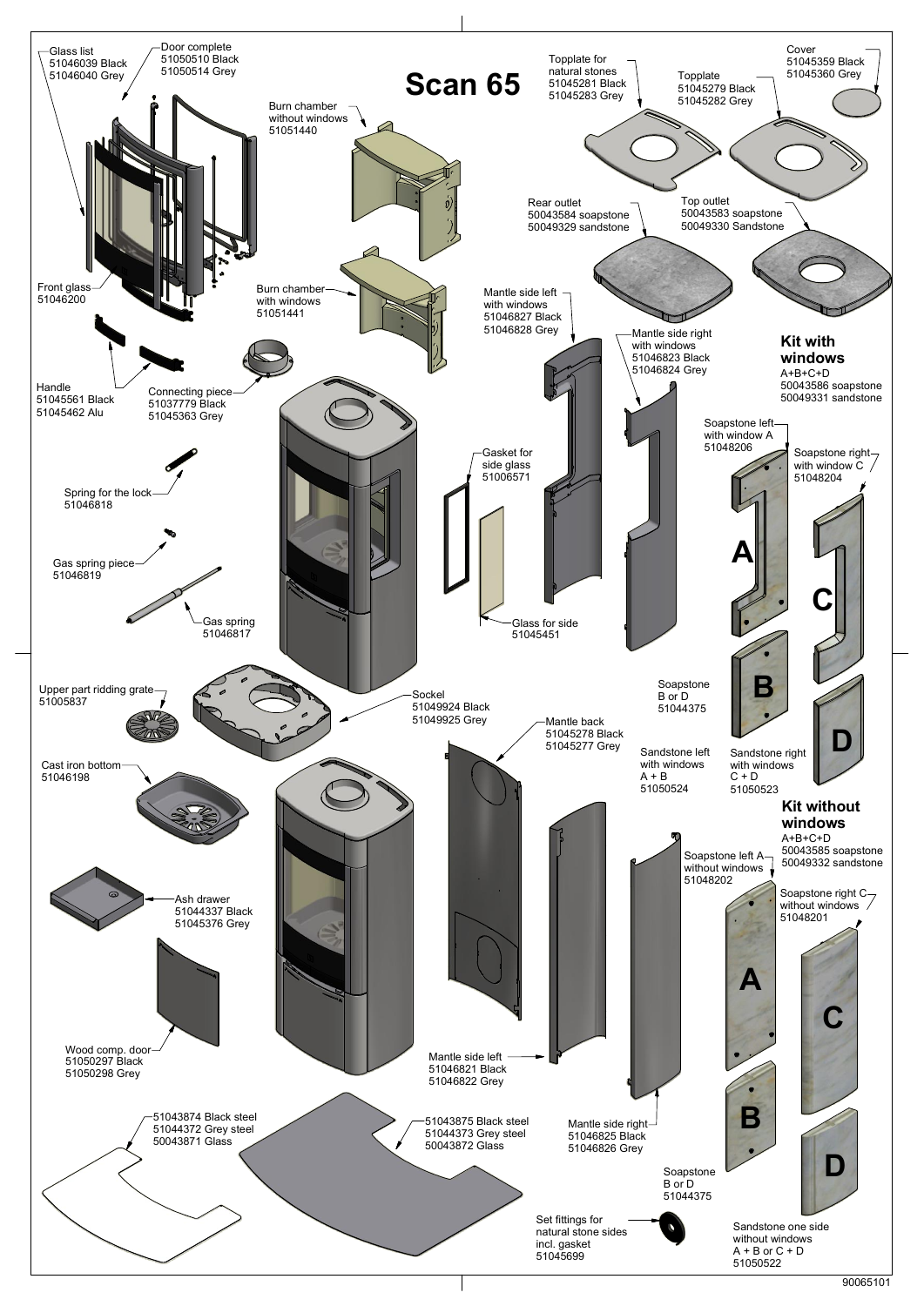